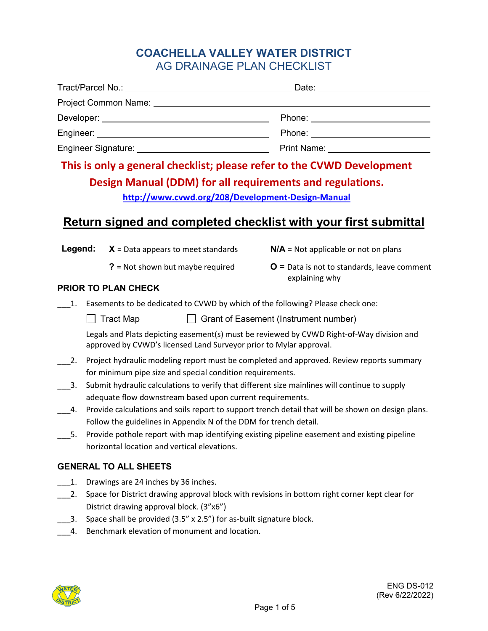## **COACHELLA VALLEY WATER DISTRICT** AG DRAINAGE PLAN CHECKLIST

|                                                                                                                | Date: _______________________  |
|----------------------------------------------------------------------------------------------------------------|--------------------------------|
| Project Common Name: Name: Name and Allen Manuscript Common Name: Name and Allen Manuscript Common Common Comm |                                |
| Developer: _____________________________                                                                       | Phone:                         |
|                                                                                                                | Phone: <u>____________</u>     |
| Engineer Signature: National Assembly Property and Assembly Property and Assembly Property and Assembly        | <b>Print Name:</b> Print Name: |

# **This is only a general checklist; please refer to the CVWD Development Design Manual (DDM) for all requirements and regulations.**

**<http://www.cvwd.org/208/Development-Design-Manual>**

## **Return signed and completed checklist with your first submittal**

**Legend:**  $X = Data$  appears to meet standards **N/A** = Not applicable or not on plans

- 
- **?** = Not shown but maybe required **O** = Data is not to standards, leave comment explaining why

## **PRIOR TO PLAN CHECK**

- \_\_\_1. Easements to be dedicated to CVWD by which of the following? Please check one:
	- $\Box$  Tract Map  $\Box$  Grant of Easement (Instrument number)

Legals and Plats depicting easement(s) must be reviewed by CVWD Right-of-Way division and approved by CVWD's licensed Land Surveyor prior to Mylar approval.

- 2. Project hydraulic modeling report must be completed and approved. Review reports summary for minimum pipe size and special condition requirements.
- \_\_\_3. Submit hydraulic calculations to verify that different size mainlines will continue to supply adequate flow downstream based upon current requirements.
- \_\_\_4. Provide calculations and soils report to support trench detail that will be shown on design plans. Follow the guidelines in Appendix N of the DDM for trench detail.
- \_\_\_5. Provide pothole report with map identifying existing pipeline easement and existing pipeline horizontal location and vertical elevations.

## **GENERAL TO ALL SHEETS**

- 1. Drawings are 24 inches by 36 inches.
- 2. Space for District drawing approval block with revisions in bottom right corner kept clear for District drawing approval block. (3"x6")
- 3. Space shall be provided (3.5" x 2.5") for as-built signature block.
- 4. Benchmark elevation of monument and location.

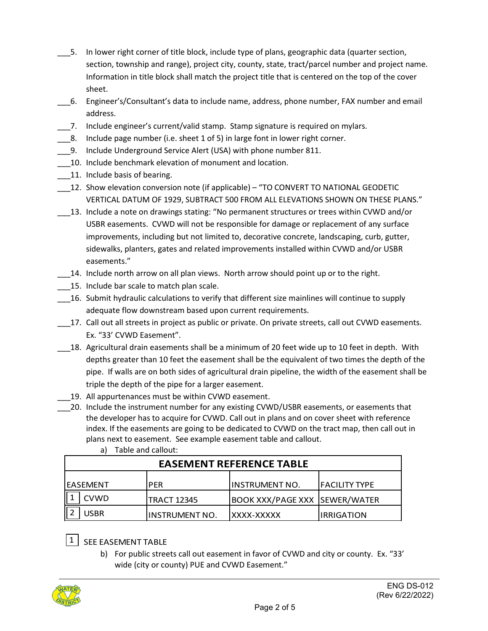- \_\_\_5. In lower right corner of title block, include type of plans, geographic data (quarter section, section, township and range), project city, county, state, tract/parcel number and project name. Information in title block shall match the project title that is centered on the top of the cover sheet.
- \_\_\_6. Engineer's/Consultant's data to include name, address, phone number, FAX number and email address.
- \_\_\_7. Include engineer's current/valid stamp. Stamp signature is required on mylars.
- \_\_\_8. Include page number (i.e. sheet 1 of 5) in large font in lower right corner.
- 9. Include Underground Service Alert (USA) with phone number 811.
- 10. Include benchmark elevation of monument and location.
- 11. Include basis of bearing.
- \_\_\_12. Show elevation conversion note (if applicable) "TO CONVERT TO NATIONAL GEODETIC VERTICAL DATUM OF 1929, SUBTRACT 500 FROM ALL ELEVATIONS SHOWN ON THESE PLANS."
- \_\_\_13. Include a note on drawings stating: "No permanent structures or trees within CVWD and/or USBR easements. CVWD will not be responsible for damage or replacement of any surface improvements, including but not limited to, decorative concrete, landscaping, curb, gutter, sidewalks, planters, gates and related improvements installed within CVWD and/or USBR easements."
- 14. Include north arrow on all plan views. North arrow should point up or to the right.
- 15. Include bar scale to match plan scale.
- \_\_\_16. Submit hydraulic calculations to verify that different size mainlines will continue to supply adequate flow downstream based upon current requirements.
- \_\_\_17. Call out all streets in project as public or private. On private streets, call out CVWD easements. Ex. "33' CVWD Easement".
- 18. Agricultural drain easements shall be a minimum of 20 feet wide up to 10 feet in depth. With depths greater than 10 feet the easement shall be the equivalent of two times the depth of the pipe. If walls are on both sides of agricultural drain pipeline, the width of the easement shall be triple the depth of the pipe for a larger easement.
- 19. All appurtenances must be within CVWD easement.
- \_\_\_20. Include the instrument number for any existing CVWD/USBR easements, or easements that the developer has to acquire for CVWD. Call out in plans and on cover sheet with reference index. If the easements are going to be dedicated to CVWD on the tract map, then call out in plans next to easement. See example easement table and callout.

| <b>EASEMENT REFERENCE TABLE</b> |                    |                                      |                   |  |
|---------------------------------|--------------------|--------------------------------------|-------------------|--|
| IEASEMENT                       | <b>PER</b>         | <b>INSTRUMENT NO.</b>                | IFACILITY TYPE    |  |
| <b>CVWD</b>                     | <b>TRACT 12345</b> | <b>BOOK XXX/PAGE XXX SEWER/WATER</b> |                   |  |
| <b>USBR</b>                     | IINSTRUMENT NO.    | XXXX-XXXXX                           | <b>IRRIGATION</b> |  |

a) Table and callout:

 $\boxed{1}$  SEE EASEMENT TABLE

b) For public streets call out easement in favor of CVWD and city or county. Ex. "33' wide (city or county) PUE and CVWD Easement."

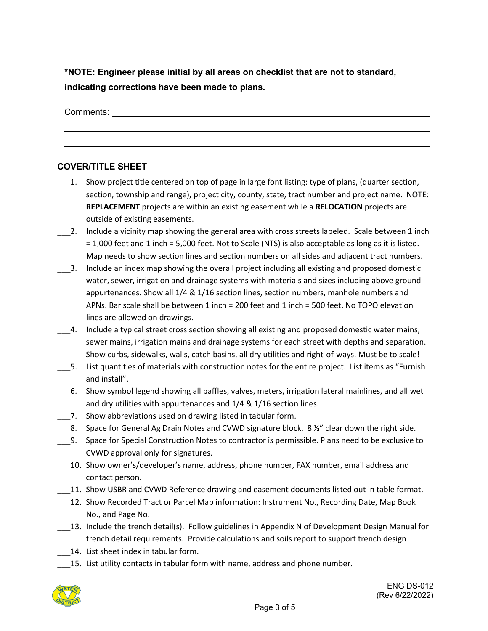**\*NOTE: Engineer please initial by all areas on checklist that are not to standard, indicating corrections have been made to plans.**

Comments:

## **COVER/TITLE SHEET**

- \_\_\_1. Show project title centered on top of page in large font listing: type of plans, (quarter section, section, township and range), project city, county, state, tract number and project name. NOTE: **REPLACEMENT** projects are within an existing easement while a **RELOCATION** projects are outside of existing easements.
- \_\_\_2. Include a vicinity map showing the general area with cross streets labeled. Scale between 1 inch = 1,000 feet and 1 inch = 5,000 feet. Not to Scale (NTS) is also acceptable as long as it is listed. Map needs to show section lines and section numbers on all sides and adjacent tract numbers.
- \_\_\_3. Include an index map showing the overall project including all existing and proposed domestic water, sewer, irrigation and drainage systems with materials and sizes including above ground appurtenances. Show all 1/4 & 1/16 section lines, section numbers, manhole numbers and APNs. Bar scale shall be between 1 inch = 200 feet and 1 inch = 500 feet. No TOPO elevation lines are allowed on drawings.
- \_\_\_4. Include a typical street cross section showing all existing and proposed domestic water mains, sewer mains, irrigation mains and drainage systems for each street with depths and separation. Show curbs, sidewalks, walls, catch basins, all dry utilities and right-of-ways. Must be to scale!
- \_\_\_5. List quantities of materials with construction notes for the entire project. List items as "Furnish and install".
- \_\_\_6. Show symbol legend showing all baffles, valves, meters, irrigation lateral mainlines, and all wet and dry utilities with appurtenances and 1/4 & 1/16 section lines.
- \_\_\_7. Show abbreviations used on drawing listed in tabular form.
- 8. Space for General Ag Drain Notes and CVWD signature block. 8  $\frac{1}{2}$ " clear down the right side.
- \_\_\_9. Space for Special Construction Notes to contractor is permissible. Plans need to be exclusive to CVWD approval only for signatures.
- \_\_\_10. Show owner's/developer's name, address, phone number, FAX number, email address and contact person.
- \_\_\_11. Show USBR and CVWD Reference drawing and easement documents listed out in table format.
- \_\_\_12. Show Recorded Tract or Parcel Map information: Instrument No., Recording Date, Map Book No., and Page No.
- \_\_\_13. Include the trench detail(s). Follow guidelines in Appendix N of Development Design Manual for trench detail requirements. Provide calculations and soils report to support trench design
- 14. List sheet index in tabular form.
- \_\_\_15. List utility contacts in tabular form with name, address and phone number.

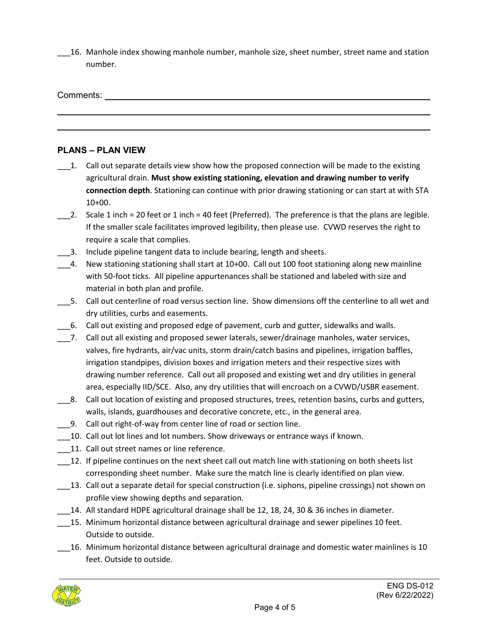\_\_\_16. Manhole index showing manhole number, manhole size, sheet number, street name and station number.

Comments:

### **PLANS – PLAN VIEW**

- \_\_\_1. Call out separate details view show how the proposed connection will be made to the existing agricultural drain. **Must show existing stationing, elevation and drawing number to verify connection depth**. Stationing can continue with prior drawing stationing or can start at with STA 10+00.
- 2. Scale 1 inch = 20 feet or 1 inch = 40 feet (Preferred). The preference is that the plans are legible. If the smaller scale facilitates improved legibility, then please use. CVWD reserves the right to require a scale that complies.
- \_\_\_3. Include pipeline tangent data to include bearing, length and sheets.
- \_\_\_4. New stationing stationing shall start at 10+00. Call out 100 foot stationing along new mainline with 50-foot ticks. All pipeline appurtenances shall be stationed and labeled with size and material in both plan and profile.
- \_\_\_5. Call out centerline of road versus section line. Show dimensions off the centerline to all wet and dry utilities, curbs and easements.
- \_\_\_6. Call out existing and proposed edge of pavement, curb and gutter, sidewalks and walls.
- \_\_\_7. Call out all existing and proposed sewer laterals, sewer/drainage manholes, water services, valves, fire hydrants, air/vac units, storm drain/catch basins and pipelines, irrigation baffles, irrigation standpipes, division boxes and irrigation meters and their respective sizes with drawing number reference. Call out all proposed and existing wet and dry utilities in general area, especially IID/SCE. Also, any dry utilities that will encroach on a CVWD/USBR easement.
- \_\_\_8. Call out location of existing and proposed structures, trees, retention basins, curbs and gutters, walls, islands, guardhouses and decorative concrete, etc., in the general area.
- \_\_\_9. Call out right-of-way from center line of road or section line.
- 10. Call out lot lines and lot numbers. Show driveways or entrance ways if known.
- 11. Call out street names or line reference.
- 12. If pipeline continues on the next sheet call out match line with stationing on both sheets list corresponding sheet number. Make sure the match line is clearly identified on plan view.
- 13. Call out a separate detail for special construction (i.e. siphons, pipeline crossings) not shown on profile view showing depths and separation.
- \_\_\_14. All standard HDPE agricultural drainage shall be 12, 18, 24, 30 & 36 inches in diameter.
- \_\_\_15. Minimum horizontal distance between agricultural drainage and sewer pipelines 10 feet. Outside to outside.
- \_\_\_16. Minimum horizontal distance between agricultural drainage and domestic water mainlines is 10 feet. Outside to outside.